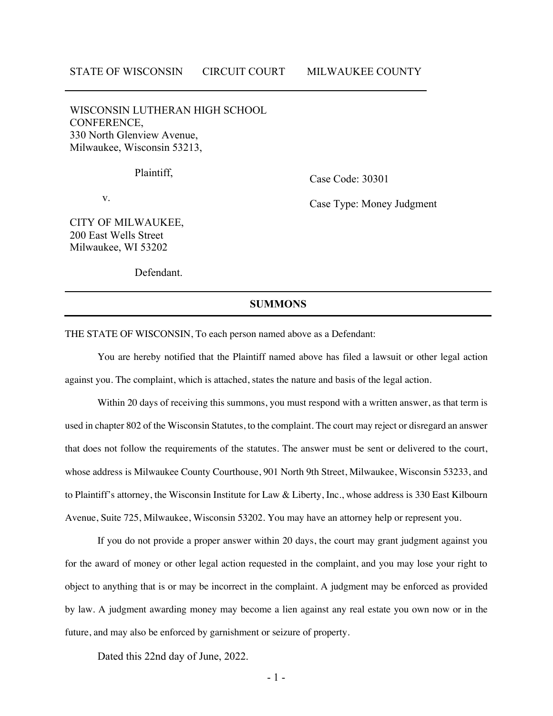WISCONSIN LUTHERAN HIGH SCHOOL CONFERENCE, 330 North Glenview Avenue, Milwaukee, Wisconsin 53213,

Plaintiff,

Case Code: 30301

v.

Case Type: Money Judgment

CITY OF MILWAUKEE, 200 East Wells Street Milwaukee, WI 53202

Defendant.

## **SUMMONS**

THE STATE OF WISCONSIN, To each person named above as a Defendant:

You are hereby notified that the Plaintiff named above has filed a lawsuit or other legal action against you. The complaint, which is attached, states the nature and basis of the legal action.

Within 20 days of receiving this summons, you must respond with a written answer, as that term is used in chapter 802 of the Wisconsin Statutes, to the complaint. The court may reject or disregard an answer that does not follow the requirements of the statutes. The answer must be sent or delivered to the court, whose address is Milwaukee County Courthouse, 901 North 9th Street, Milwaukee, Wisconsin 53233, and to Plaintiff's attorney, the Wisconsin Institute for Law & Liberty, Inc., whose address is 330 East Kilbourn Avenue, Suite 725, Milwaukee, Wisconsin 53202. You may have an attorney help or represent you.

If you do not provide a proper answer within 20 days, the court may grant judgment against you for the award of money or other legal action requested in the complaint, and you may lose your right to object to anything that is or may be incorrect in the complaint. A judgment may be enforced as provided by law. A judgment awarding money may become a lien against any real estate you own now or in the future, and may also be enforced by garnishment or seizure of property.

Dated this 22nd day of June, 2022.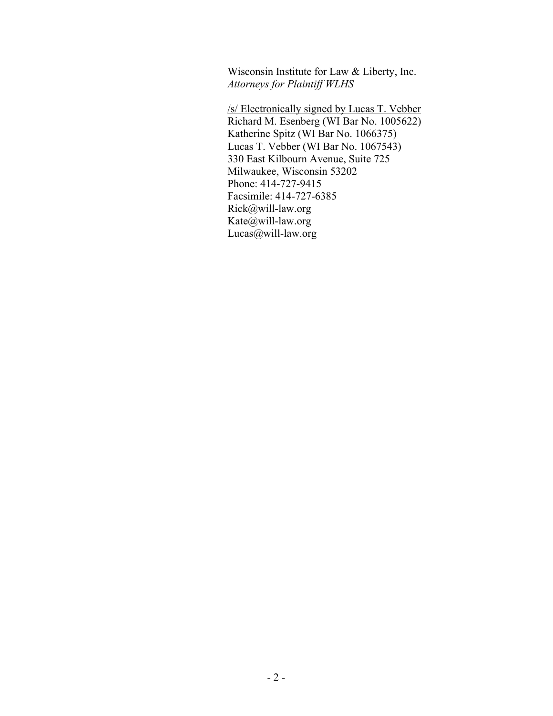Wisconsin Institute for Law & Liberty, Inc. *Attorneys for Plaintiff WLHS*

/s/ Electronically signed by Lucas T. Vebber Richard M. Esenberg (WI Bar No. 1005622) Katherine Spitz (WI Bar No. 1066375) Lucas T. Vebber (WI Bar No. 1067543) 330 East Kilbourn Avenue, Suite 725 Milwaukee, Wisconsin 53202 Phone: 414-727-9415 Facsimile: 414-727-6385 Rick@will-law.org Kate@will-law.org Lucas@will-law.org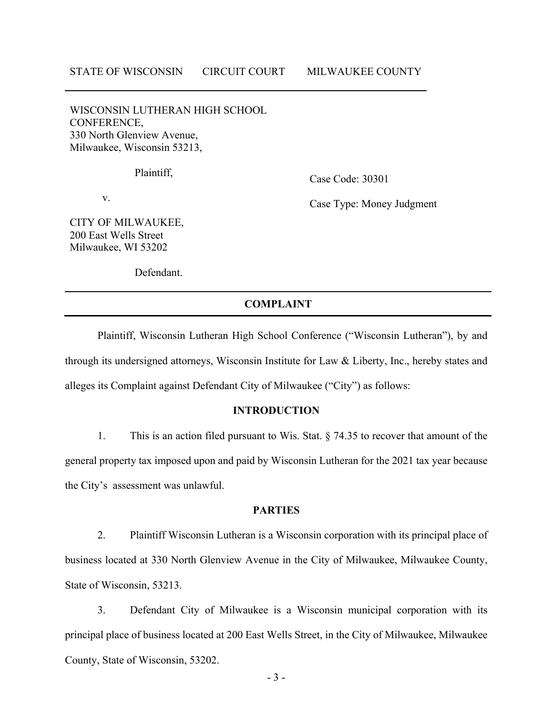WISCONSIN LUTHERAN HIGH SCHOOL CONFERENCE, 330 North Glenview Avenue, Milwaukee, Wisconsin 53213,

Plaintiff,

Case Code: 30301

v.

Case Type: Money Judgment

CITY OF MILWAUKEE, 200 East Wells Street Milwaukee, WI 53202

Defendant.

# **COMPLAINT**

Plaintiff, Wisconsin Lutheran High School Conference ("Wisconsin Lutheran"), by and through its undersigned attorneys, Wisconsin Institute for Law & Liberty, Inc., hereby states and alleges its Complaint against Defendant City of Milwaukee ("City") as follows:

## **INTRODUCTION**

1. This is an action filed pursuant to Wis. Stat. § 74.35 to recover that amount of the general property tax imposed upon and paid by Wisconsin Lutheran for the 2021 tax year because the City's assessment was unlawful.

## **PARTIES**

2. Plaintiff Wisconsin Lutheran is a Wisconsin corporation with its principal place of business located at 330 North Glenview Avenue in the City of Milwaukee, Milwaukee County, State of Wisconsin, 53213.

3. Defendant City of Milwaukee is a Wisconsin municipal corporation with its principal place of business located at 200 East Wells Street, in the City of Milwaukee, Milwaukee County, State of Wisconsin, 53202.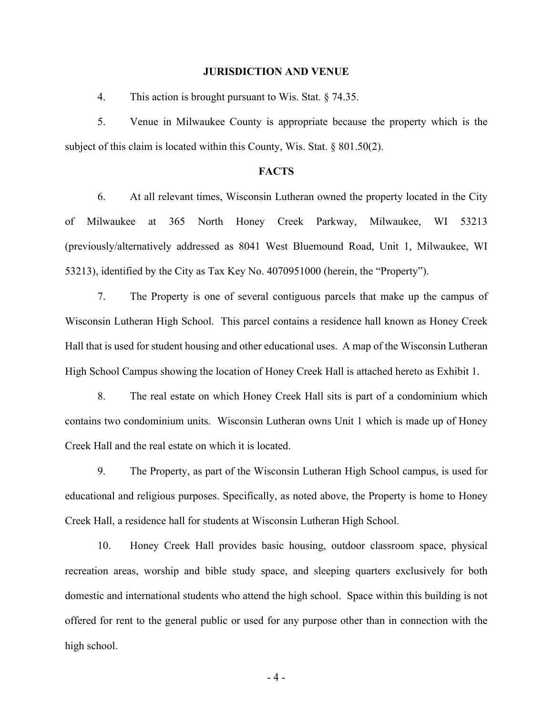#### **JURISDICTION AND VENUE**

4. This action is brought pursuant to Wis. Stat. § 74.35.

5. Venue in Milwaukee County is appropriate because the property which is the subject of this claim is located within this County, Wis. Stat. § 801.50(2).

# **FACTS**

6. At all relevant times, Wisconsin Lutheran owned the property located in the City of Milwaukee at 365 North Honey Creek Parkway, Milwaukee, WI 53213 (previously/alternatively addressed as 8041 West Bluemound Road, Unit 1, Milwaukee, WI 53213), identified by the City as Tax Key No. 4070951000 (herein, the "Property").

7. The Property is one of several contiguous parcels that make up the campus of Wisconsin Lutheran High School. This parcel contains a residence hall known as Honey Creek Hall that is used for student housing and other educational uses. A map of the Wisconsin Lutheran High School Campus showing the location of Honey Creek Hall is attached hereto as Exhibit 1.

8. The real estate on which Honey Creek Hall sits is part of a condominium which contains two condominium units. Wisconsin Lutheran owns Unit 1 which is made up of Honey Creek Hall and the real estate on which it is located.

9. The Property, as part of the Wisconsin Lutheran High School campus, is used for educational and religious purposes. Specifically, as noted above, the Property is home to Honey Creek Hall, a residence hall for students at Wisconsin Lutheran High School.

10. Honey Creek Hall provides basic housing, outdoor classroom space, physical recreation areas, worship and bible study space, and sleeping quarters exclusively for both domestic and international students who attend the high school. Space within this building is not offered for rent to the general public or used for any purpose other than in connection with the high school.

- 4 -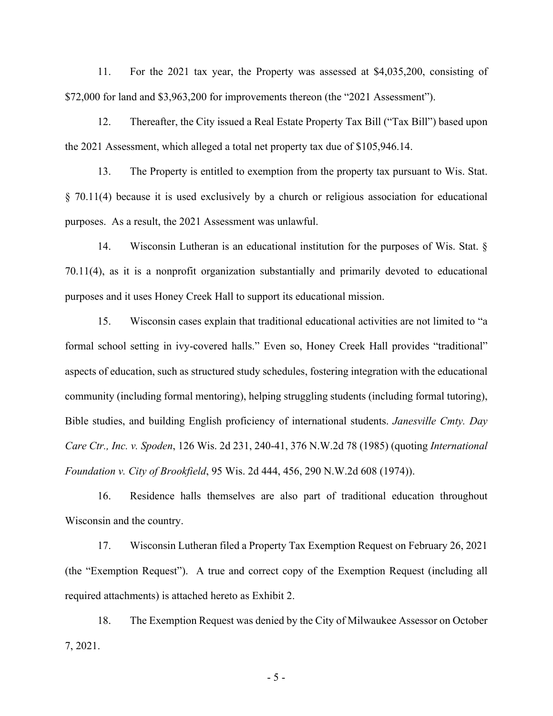11. For the 2021 tax year, the Property was assessed at \$4,035,200, consisting of \$72,000 for land and \$3,963,200 for improvements thereon (the "2021 Assessment").

12. Thereafter, the City issued a Real Estate Property Tax Bill ("Tax Bill") based upon the 2021 Assessment, which alleged a total net property tax due of \$105,946.14.

13. The Property is entitled to exemption from the property tax pursuant to Wis. Stat. § 70.11(4) because it is used exclusively by a church or religious association for educational purposes. As a result, the 2021 Assessment was unlawful.

14. Wisconsin Lutheran is an educational institution for the purposes of Wis. Stat. § 70.11(4), as it is a nonprofit organization substantially and primarily devoted to educational purposes and it uses Honey Creek Hall to support its educational mission.

15. Wisconsin cases explain that traditional educational activities are not limited to "a formal school setting in ivy-covered halls." Even so, Honey Creek Hall provides "traditional" aspects of education, such as structured study schedules, fostering integration with the educational community (including formal mentoring), helping struggling students (including formal tutoring), Bible studies, and building English proficiency of international students. *Janesville Cmty. Day Care Ctr., Inc. v. Spoden*, 126 Wis. 2d 231, 240-41, 376 N.W.2d 78 (1985) (quoting *International Foundation v. City of Brookfield*, 95 Wis. 2d 444, 456, 290 N.W.2d 608 (1974)).

16. Residence halls themselves are also part of traditional education throughout Wisconsin and the country.

17. Wisconsin Lutheran filed a Property Tax Exemption Request on February 26, 2021 (the "Exemption Request"). A true and correct copy of the Exemption Request (including all required attachments) is attached hereto as Exhibit 2.

18. The Exemption Request was denied by the City of Milwaukee Assessor on October 7, 2021.

- 5 -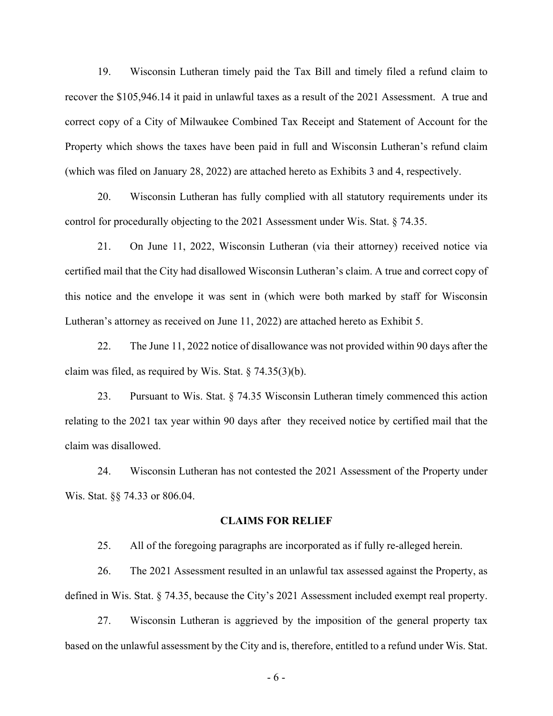19. Wisconsin Lutheran timely paid the Tax Bill and timely filed a refund claim to recover the \$105,946.14 it paid in unlawful taxes as a result of the 2021 Assessment. A true and correct copy of a City of Milwaukee Combined Tax Receipt and Statement of Account for the Property which shows the taxes have been paid in full and Wisconsin Lutheran's refund claim (which was filed on January 28, 2022) are attached hereto as Exhibits 3 and 4, respectively.

20. Wisconsin Lutheran has fully complied with all statutory requirements under its control for procedurally objecting to the 2021 Assessment under Wis. Stat. § 74.35.

21. On June 11, 2022, Wisconsin Lutheran (via their attorney) received notice via certified mail that the City had disallowed Wisconsin Lutheran's claim. A true and correct copy of this notice and the envelope it was sent in (which were both marked by staff for Wisconsin Lutheran's attorney as received on June 11, 2022) are attached hereto as Exhibit 5.

22. The June 11, 2022 notice of disallowance was not provided within 90 days after the claim was filed, as required by Wis. Stat.  $\S$  74.35(3)(b).

23. Pursuant to Wis. Stat. § 74.35 Wisconsin Lutheran timely commenced this action relating to the 2021 tax year within 90 days after they received notice by certified mail that the claim was disallowed.

24. Wisconsin Lutheran has not contested the 2021 Assessment of the Property under Wis. Stat. §§ 74.33 or 806.04.

#### **CLAIMS FOR RELIEF**

25. All of the foregoing paragraphs are incorporated as if fully re-alleged herein.

26. The 2021 Assessment resulted in an unlawful tax assessed against the Property, as defined in Wis. Stat. § 74.35, because the City's 2021 Assessment included exempt real property.

27. Wisconsin Lutheran is aggrieved by the imposition of the general property tax based on the unlawful assessment by the City and is, therefore, entitled to a refund under Wis. Stat.

- 6 -